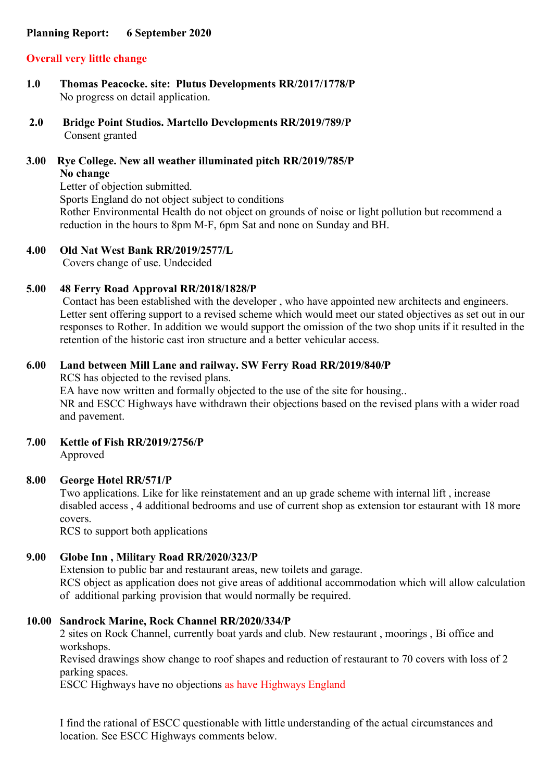## **Planning Report: 6 September 2020**

# **Overall very little change**

- **1.0 Thomas Peacocke. site: Plutus Developments RR/2017/1778/P** No progress on detail application.
- **2.0 Bridge Point Studios. Martello Developments RR/2019/789/P** Consent granted
- **3.00 Rye College. New all weather illuminated pitch RR/2019/785/P No change**

Letter of objection submitted. Sports England do not object subject to conditions Rother Environmental Health do not object on grounds of noise or light pollution but recommend a reduction in the hours to 8pm M-F, 6pm Sat and none on Sunday and BH.

### **4.00 Old Nat West Bank RR/2019/2577/L**

Covers change of use. Undecided

### **5.00 48 Ferry Road Approval RR/2018/1828/P**

 Contact has been established with the developer , who have appointed new architects and engineers. Letter sent offering support to a revised scheme which would meet our stated objectives as set out in our responses to Rother. In addition we would support the omission of the two shop units if it resulted in the retention of the historic cast iron structure and a better vehicular access.

### **6.00 Land between Mill Lane and railway. SW Ferry Road RR/2019/840/P**

RCS has objected to the revised plans.

EA have now written and formally objected to the use of the site for housing.. NR and ESCC Highways have withdrawn their objections based on the revised plans with a wider road and pavement.

**7.00 Kettle of Fish RR/2019/2756/P** Approved

### **8.00 George Hotel RR/571/P**

Two applications. Like for like reinstatement and an up grade scheme with internal lift , increase disabled access , 4 additional bedrooms and use of current shop as extension tor estaurant with 18 more covers.

RCS to support both applications

## **9.00 Globe Inn , Military Road RR/2020/323/P**

Extension to public bar and restaurant areas, new toilets and garage. RCS object as application does not give areas of additional accommodation which will allow calculation of additional parking provision that would normally be required.

## **10.00 Sandrock Marine, Rock Channel RR/2020/334/P**

2 sites on Rock Channel, currently boat yards and club. New restaurant , moorings , Bi office and workshops.

Revised drawings show change to roof shapes and reduction of restaurant to 70 covers with loss of 2 parking spaces.

ESCC Highways have no objections as have Highways England

I find the rational of ESCC questionable with little understanding of the actual circumstances and location. See ESCC Highways comments below.